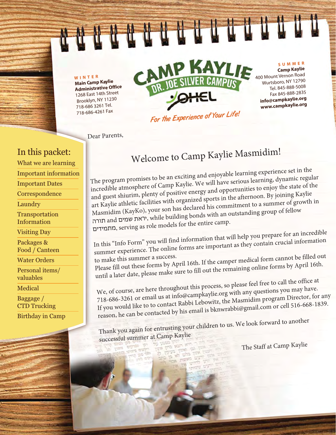**WINTER Main Camp Kaylie Administrative Office** 1268 East 14th Street Brooklyn, NY 112 718-686 3261 Tel. 718-686-4261 Fax



Dear Parents,

### In this packet:

What we are learning

Important information

Important Dates

**Correspondence** 

Laundry

**Transportation** Information

Visiting Day

Packages & Food / Canteen

Water Orders

Personal items/ valuables

Medical

Baggage / CTD Trucking

Birthday in Camp

# Welcome to Camp Kaylie Masmidim!

The program promises to be an exciting and enjoyable learning experience set in the incredible atmosphere of Camp Kaylie. We will have serious learning, dynamic regular and guest shiurim, plenty of positive energy and opportunities to enjoy the state of the art Kaylie athletic facilities with organized sports in the afternoon. By joining Kaylie art Kaylie athletic facilities with organized sports in the arctive of the monet of growth in<br>Masmidim (KayKo), your son has declared his commitment to a summer of growth in Masmidim (KayKo), your son has declared ins committed group of fellow<br>יראת שמים and יראת שמים, while building bonds with an outstanding group of fellow מתמידים, serving as role models for the entire camp.

In this "Info Form" you will find information that will help you prepare for an incredible summer experience. The online forms are important as they contain crucial information<br>to make this summer a success.

to make this summer a success.<br>Please fill out these forms by April 16th. If the camper medical form cannot be filled out<br>Le fill out these forms by April 16th. until a later date, please make sure to fill out the remaining online forms by April 16th.

We, of course, are here throughout this process, so please feel free to call the office at 718-686-3261 or email us at info@campkaylie.org with any questions you may have. If you would like to to contact Rabbi Lebowitz, the Masmidim program Director, for any reason, he can be contacted by his email is bknwrabbi@gmail.com or cell 516-668-1839.

Thank you again for entrusting your children to us. We look forward to another successful summer at Camp Kaylie

The Staff at Camp Kaylie

**SUMMER Camp Kaylie** 

400 Mount Vernon Road Wurtsboro, NY 12790 Tel. 845-888-5008 Fax 845-888-2835 **info@campkaylie.org www.campkaylie.org**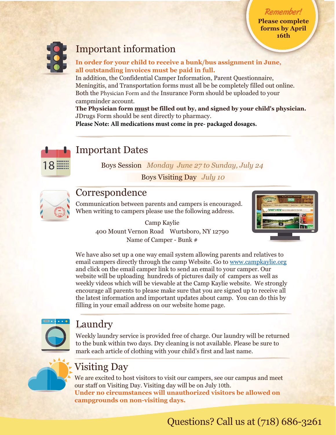**Please complete forms** by April **16th** 

Remember!



## Important information

In order for your child to receive a bunk/bus assignment in June, all outstanding invoices must be paid in full.

In addition, the Confidential Camper Information, Parent Questionnaire, Meningitis, and Transportation forms must all be be completely filled out online. Both the Physician Form and the Insurance Form should be uploaded to your campminder account.

**The Physician form must be filled out by, and signed by your child's physician.** JDrugs Form should be sent directly to pharmacy.

**Please Note: All medications must come in pre- packaged dosages.**



# Important Dates

Boys Session *Monday June 27 to Sunday, July 24* 

Boys Visiting Day *July 10*



### **Correspondence**

Communication between parents and campers is encouraged. When writing to campers please use the following address.

> Camp Kaylie 400 Mount Vernon Road Wurtsboro, NY 12790 Name of Camper - Bunk #



We have also set up a one way email system allowing parents and relatives to email campers directly through the camp Website. Go to www.campkaylie.org and click on the email camper link to send an email to your camper. Our website will be uploading hundreds of pictures daily of campers as well as weekly videos which will be viewable at the Camp Kaylie website. We strongly encourage all parents to please make sure that you are signed up to receive all the latest information and important updates about camp. You can do this by filling in your email address on our website home page.



## Laundry

Weekly laundry service is provided free of charge. Our laundry will be returned to the bunk within two days. Dry cleaning is not available. Please be sure to mark each article of clothing with your child's first and last name.



# Visiting Day

We are excited to host visitors to visit our campers, see our campus and meet our staff on Visiting Day. Visiting day will be on July 10th. Under no circumstances will unauthorized visitors be allowed on campgrounds on non-visiting days.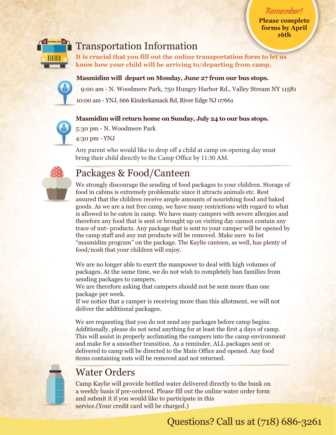**Please complete ISON** forms by April **16th** 

Remember!



### Transportation Information

It is crucial that you fill out the online transportation form to let us know how your child will be arriving to/departing from camp.

### **Masmidim** will depart on Monday, June 27 from our bus stops.



9:00 am - N. Woodmere Park, 750 Hungry Harbor Rd., Valley Stream NY 11581 10:00 am - YNJ, 666 Kinderkamack Rd, River Edge NJ 07661

### **Masmidim** will return home on Sunday, July 24 to our bus stops.



5:30 pm - N. Woodmere Park 4:30 pm - YNJ

Any parent who would like to drop off a child at camp on opening day must bring their child directly to the Camp Office by 11:30 AM.

# Packages & Food/Canteen

We strongly discourage the sending of food packages to your children. Storage of food in cabins is extremely problematic since it attracts animals etc. Rest assured that the children receive ample amounts of nourishing food and baked goods. As we are a nut free camp, we have many restrictions with regard to what is allowed to be eaten in camp. We have many campers with severe allergies and therefore any food that is sent or brought up on visiting day cannot contain any trace of nut- products. Any package that is sent to your camper will be opened by the camp staff and any nut products will be removed. Make sure to list "masmidim program" on the package. The Kaylie canteen, as well, has plenty of food/nosh that your children will enjoy.

We are no longer able to exert the manpower to deal with high volumes of packages. At the same time, we do not wish to completely ban families from sending packages to campers.

We are therefore asking that campers should not be sent more than one package per week.

If we notice that a camper is receiving more than this allotment, we will not deliver the additional packages.

We are requesting that you do not send any packages before camp begins. Additionally, please do not send anything for at least the first 4 days of camp. This will assist in properly acclimating the campers into the camp environment and make for a smoother transition. As a reminder, ALL packages sent or delivered to camp will be directed to the Main Office and opened. Any food items containing nuts will be removed and not returned.

# Water Orders

Camp Kaylie will provide bottled water delivered directly to the bunk on a weekly basis if pre-ordered. Please fill out the online water order form and submit it if you would like to participate in this service. (Your credit card will be charged.)